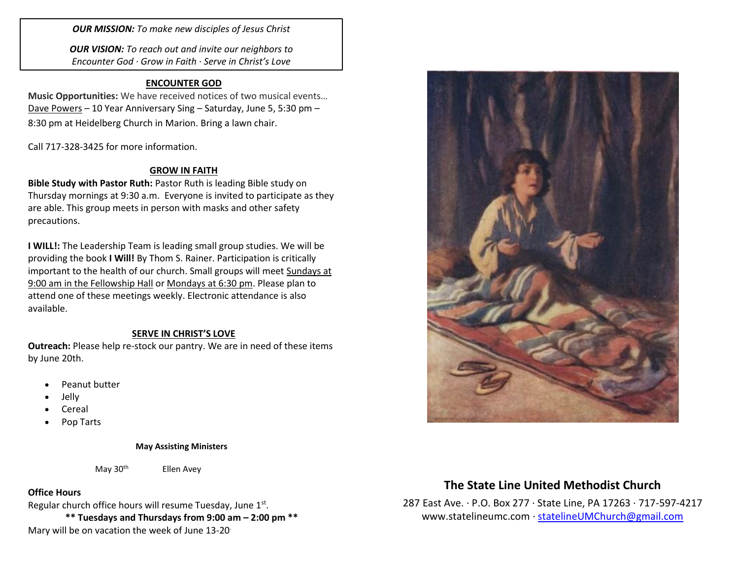*OUR MISSION: To make new disciples of Jesus Christ*

*OUR VISION: To reach out and invite our neighbors to Encounter God · Grow in Faith · Serve in Christ's Love*

## **ENCOUNTER GOD**

**Music Opportunities:** We have received notices of two musical events… Dave Powers – 10 Year Anniversary Sing – Saturday, June 5, 5:30 pm – 8:30 pm at Heidelberg Church in Marion. Bring a lawn chair.

Call 717-328-3425 for more information.

## **GROW IN FAITH**

**Bible Study with Pastor Ruth:** Pastor Ruth is leading Bible study on Thursday mornings at 9:30 a.m. Everyone is invited to participate as they are able. This group meets in person with masks and other safety precautions.

**I WILL!:** The Leadership Team is leading small group studies. We will be providing the book **I Will!** By Thom S. Rainer. Participation is critically important to the health of our church. Small groups will meet Sundays at 9:00 am in the Fellowship Hall or Mondays at 6:30 pm. Please plan to attend one of these meetings weekly. Electronic attendance is also available.

### **SERVE IN CHRIST'S LOVE**

**Outreach:** Please help re-stock our pantry. We are in need of these items by June 20th.

- Peanut butter
- Jelly
- Cereal
- Pop Tarts

#### **May Assisting Ministers**

#### May  $30<sup>th</sup>$  Ellen Avey

### **Office Hours**

Regular church office hours will resume Tuesday, June 1<sup>st</sup>.

**\*\* Tuesdays and Thursdays from 9:00 am – 2:00 pm \*\*** Mary will be on vacation the week of June 13-20.



## **The State Line United Methodist Church**

287 East Ave. · P.O. Box 277 · State Line, PA 17263 · 717-597-4217 [www.statelineumc.com](http://www.statelineumc.com/) · [statelineUMChurch@gmail.com](mailto:statelineUMChurch@gmail.com)